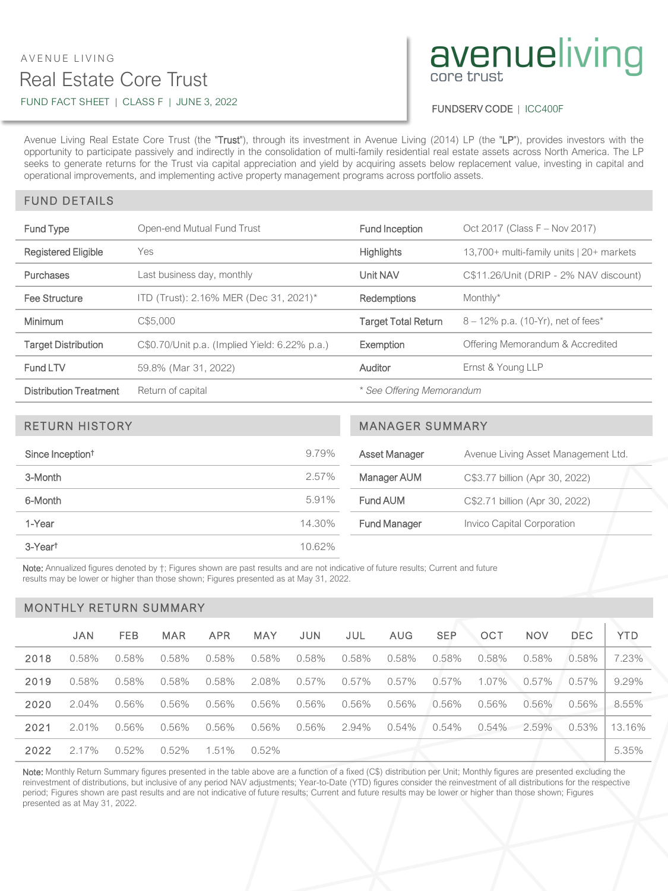## Real Estate Core Trust AVENUE LIVING FUND FACT SHEET | CLASS F | JUNE 3, 2022

# avenueliving

#### FUNDSERV CODE | ICC400F

Avenue Living Real Estate Core Trust (the "Trust"), through its investment in Avenue Living (2014) LP (the "LP"), provides investors with the opportunity to participate passively and indirectly in the consolidation of multi-family residential real estate assets across North America. The LP seeks to generate returns for the Trust via capital appreciation and yield by acquiring assets below replacement value, investing in capital and operational improvements, and implementing active property management programs across portfolio assets.

### FUND DETAILS

| Fund Type                     | Open-end Mutual Fund Trust                    | Fund Inception             | Oct 2017 (Class F - Nov 2017)            |  |  |
|-------------------------------|-----------------------------------------------|----------------------------|------------------------------------------|--|--|
| <b>Registered Eligible</b>    | Yes                                           | <b>Highlights</b>          | 13,700+ multi-family units   20+ markets |  |  |
| <b>Purchases</b>              | Last business day, monthly                    | Unit NAV                   | C\$11.26/Unit (DRIP - 2% NAV discount)   |  |  |
| Fee Structure                 | ITD (Trust): 2.16% MER (Dec 31, 2021)*        | <b>Redemptions</b>         | Monthly*                                 |  |  |
| <b>Minimum</b>                | C\$5.000                                      | <b>Target Total Return</b> | $8 - 12\%$ p.a. (10-Yr), net of fees*    |  |  |
| <b>Target Distribution</b>    | C\$0.70/Unit p.a. (Implied Yield: 6.22% p.a.) | Exemption                  | Offering Memorandum & Accredited         |  |  |
| Fund LTV                      | 59.8% (Mar 31, 2022)                          | Auditor                    | Ernst & Young LLP                        |  |  |
| <b>Distribution Treatment</b> | Return of capital                             | * See Offering Memorandum  |                                          |  |  |

| <b>RETURN HISTORY</b>        |        | <b>MANAGER SUMMARY</b> |                                     |  |  |  |
|------------------------------|--------|------------------------|-------------------------------------|--|--|--|
| Since Inception <sup>†</sup> | 9.79%  | Asset Manager          | Avenue Living Asset Management Ltd. |  |  |  |
| 3-Month                      | 2.57%  | Manager AUM            | C\$3.77 billion (Apr 30, 2022)      |  |  |  |
| 6-Month                      | 5.91%  | Fund AUM               | C\$2.71 billion (Apr 30, 2022)      |  |  |  |
| 1-Year                       | 14.30% | <b>Fund Manager</b>    | Invico Capital Corporation          |  |  |  |
| 3-Yeart                      | 10.62% |                        |                                     |  |  |  |

Note: Annualized figures denoted by  $+$ ; Figures shown are past results and are not indicative of future results; Current and future results may be lower or higher than those shown; Figures presented as at May 31, 2022.

#### MONTHLY RETURN SUMMARY

|      | <b>JAN</b> | <b>FEB</b> | <b>MAR</b> | <b>APR</b> | <b>MAY</b> | <b>JUN</b> | JUL   | <b>AUG</b> | <b>SEP</b> | OCT   | <b>NOV</b> | <b>DEC</b> | <b>YTD</b> |
|------|------------|------------|------------|------------|------------|------------|-------|------------|------------|-------|------------|------------|------------|
| 2018 | 0.58%      | 0.58%      | 0.58%      | 0.58%      | 0.58%      | 0.58%      | 0.58% | 0.58%      | 0.58%      | 0.58% | 0.58%      | 0.58%      | 7.23%      |
| 2019 | 0.58%      | 0.58%      | 0.58%      | 0.58%      | 2.08%      | 0.57%      | 0.57% | 0.57%      | 0.57%      | 1.07% | 0.57%      | 0.57%      | 9.29%      |
| 2020 | $2.04\%$   | 0.56%      | 0.56%      | 0.56%      | 0.56%      | 0.56%      | 0.56% | 0.56%      | 0.56%      | 0.56% | 0.56%      | 0.56%      | 8.55%      |
| 2021 | $2.01\%$   | $0.56\%$   | 0.56%      | 0.56%      | 0.56%      | 0.56%      | 2.94% | 0.54%      | 0.54%      | 0.54% | 2.59%      | 0.53%      | 13.16%     |
| 2022 | 2.17%      | 0.52%      | 0.52%      | 1.51%      | 0.52%      |            |       |            |            |       |            |            | 5.35%      |

Note: Monthly Return Summary figures presented in the table above are a function of a fixed (C\$) distribution per Unit; Monthly figures are presented excluding the reinvestment of distributions, but inclusive of any period NAV adjustments; Year-to-Date (YTD) figures consider the reinvestment of all distributions for the respective period; Figures shown are past results and are not indicative of future results; Current and future results may be lower or higher than those shown; Figures presented as at May 31, 2022.